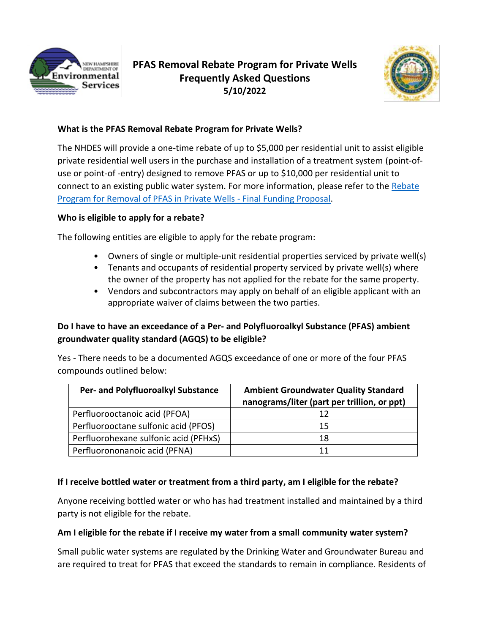

# **PFAS Removal Rebate Program for Private Wells Frequently Asked Questions 5/10/2022**



## **What is the PFAS Removal Rebate Program for Private Wells?**

The NHDES will provide a one-time rebate of up to \$5,000 per residential unit to assist eligible private residential well users in the purchase and installation of a treatment system (point-ofuse or point-of -entry) designed to remove PFAS or up to \$10,000 per residential unit to connect to an existing public water system. For more information, please refer to the [Rebate](https://www4.des.state.nh.us/nh-pfas-investigation/wp-content/uploads/PFAS-Treatment-Rebate-Program-Funding.pdf)  [Program for Removal of PFAS in Private Wells -](https://www4.des.state.nh.us/nh-pfas-investigation/wp-content/uploads/PFAS-Treatment-Rebate-Program-Funding.pdf) Final Funding Proposal.

## **Who is eligible to apply for a rebate?**

The following entities are eligible to apply for the rebate program:

- Owners of single or multiple-unit residential properties serviced by private well(s)
- Tenants and occupants of residential property serviced by private well(s) where the owner of the property has not applied for the rebate for the same property.
- Vendors and subcontractors may apply on behalf of an eligible applicant with an appropriate waiver of claims between the two parties.

# **Do I have to have an exceedance of a Per- and Polyfluoroalkyl Substance (PFAS) ambient groundwater quality standard (AGQS) to be eligible?**

Yes - There needs to be a documented AGQS exceedance of one or more of the four PFAS compounds outlined below:

| Per- and Polyfluoroalkyl Substance    | <b>Ambient Groundwater Quality Standard</b><br>nanograms/liter (part per trillion, or ppt) |
|---------------------------------------|--------------------------------------------------------------------------------------------|
| Perfluorooctanoic acid (PFOA)         |                                                                                            |
| Perfluorooctane sulfonic acid (PFOS)  | 15                                                                                         |
| Perfluorohexane sulfonic acid (PFHxS) | 18                                                                                         |
| Perfluorononanoic acid (PFNA)         |                                                                                            |

## **If I receive bottled water or treatment from a third party, am I eligible for the rebate?**

Anyone receiving bottled water or who has had treatment installed and maintained by a third party is not eligible for the rebate.

## **Am I eligible for the rebate if I receive my water from a small community water system?**

Small public water systems are regulated by the Drinking Water and Groundwater Bureau and are required to treat for PFAS that exceed the standards to remain in compliance. Residents of